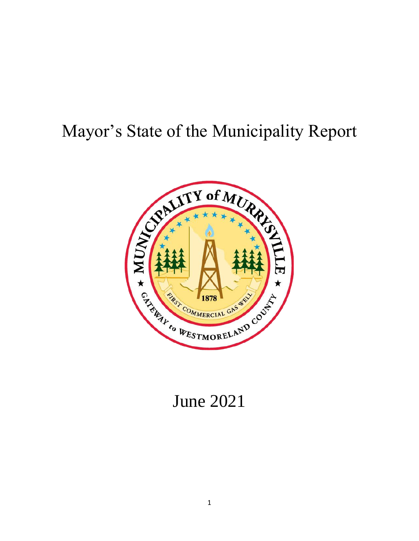## Mayor's State of the Municipality Report



# June 2021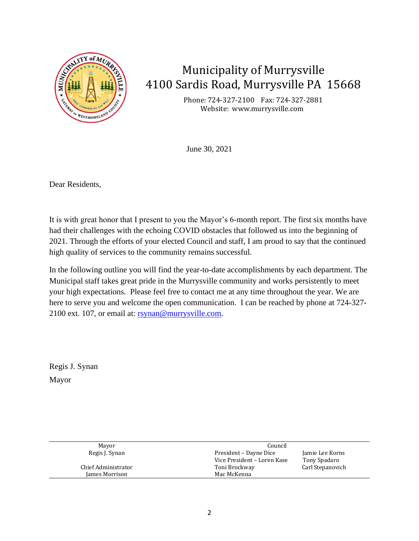

## Municipality of Murrysville 4100 Sardis Road, Murrysville PA 15668

Phone: 724-327-2100 Fax: 724-327-2881 Website: www.murrysville.com

June 30, 2021

Dear Residents,

It is with great honor that I present to you the Mayor's 6-month report. The first six months have had their challenges with the echoing COVID obstacles that followed us into the beginning of 2021. Through the efforts of your elected Council and staff, I am proud to say that the continued high quality of services to the community remains successful.

In the following outline you will find the year-to-date accomplishments by each department. The Municipal staff takes great pride in the Murrysville community and works persistently to meet your high expectations. Please feel free to contact me at any time throughout the year. We are here to serve you and welcome the open communication. I can be reached by phone at 724-327 2100 ext. 107, or email at: [rsynan@murrysville.com.](mailto:rsynan@murrysville.com)

Regis J. Synan Mayor

| Mayor               | Council                     |                  |
|---------------------|-----------------------------|------------------|
| Regis J. Synan      | President – Dayne Dice      | Jamie Lee Korns  |
|                     | Vice President - Loren Kase | Tony Spadaro     |
| Chief Administrator | Toni Brockway               | Carl Stepanovich |
| James Morrison      | Mac McKenna                 |                  |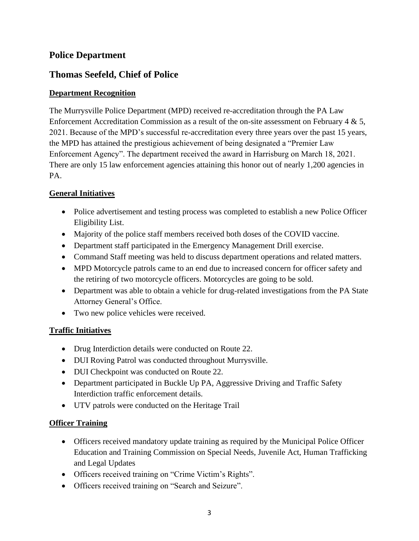### **Police Department**

## **Thomas Seefeld, Chief of Police**

#### **Department Recognition**

The Murrysville Police Department (MPD) received re-accreditation through the PA Law Enforcement Accreditation Commission as a result of the on-site assessment on February 4 & 5, 2021. Because of the MPD's successful re-accreditation every three years over the past 15 years, the MPD has attained the prestigious achievement of being designated a "Premier Law Enforcement Agency". The department received the award in Harrisburg on March 18, 2021. There are only 15 law enforcement agencies attaining this honor out of nearly 1,200 agencies in PA.

#### **General Initiatives**

- Police advertisement and testing process was completed to establish a new Police Officer Eligibility List.
- Majority of the police staff members received both doses of the COVID vaccine.
- Department staff participated in the Emergency Management Drill exercise.
- Command Staff meeting was held to discuss department operations and related matters.
- MPD Motorcycle patrols came to an end due to increased concern for officer safety and the retiring of two motorcycle officers. Motorcycles are going to be sold.
- Department was able to obtain a vehicle for drug-related investigations from the PA State Attorney General's Office.
- Two new police vehicles were received.

#### **Traffic Initiatives**

- Drug Interdiction details were conducted on Route 22.
- DUI Roving Patrol was conducted throughout Murrysville.
- DUI Checkpoint was conducted on Route 22.
- Department participated in Buckle Up PA, Aggressive Driving and Traffic Safety Interdiction traffic enforcement details.
- UTV patrols were conducted on the Heritage Trail

#### **Officer Training**

- Officers received mandatory update training as required by the Municipal Police Officer Education and Training Commission on Special Needs, Juvenile Act, Human Trafficking and Legal Updates
- Officers received training on "Crime Victim's Rights".
- Officers received training on "Search and Seizure".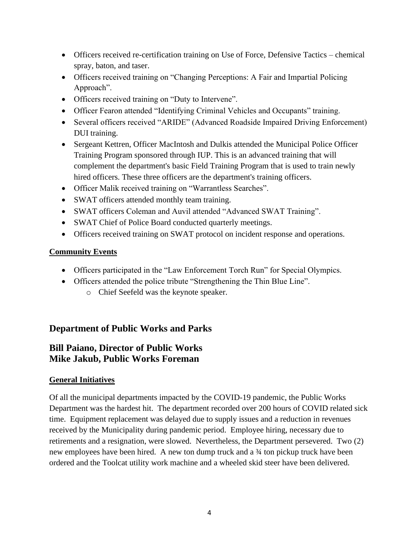- Officers received re-certification training on Use of Force, Defensive Tactics chemical spray, baton, and taser.
- Officers received training on "Changing Perceptions: A Fair and Impartial Policing Approach".
- Officers received training on "Duty to Intervene".
- Officer Fearon attended "Identifying Criminal Vehicles and Occupants" training.
- Several officers received "ARIDE" (Advanced Roadside Impaired Driving Enforcement) DUI training.
- Sergeant Kettren, Officer MacIntosh and Dulkis attended the Municipal Police Officer Training Program sponsored through IUP. This is an advanced training that will complement the department's basic Field Training Program that is used to train newly hired officers. These three officers are the department's training officers.
- Officer Malik received training on "Warrantless Searches".
- SWAT officers attended monthly team training.
- SWAT officers Coleman and Auvil attended "Advanced SWAT Training".
- SWAT Chief of Police Board conducted quarterly meetings.
- Officers received training on SWAT protocol on incident response and operations.

#### **Community Events**

- Officers participated in the "Law Enforcement Torch Run" for Special Olympics.
- Officers attended the police tribute "Strengthening the Thin Blue Line".
	- o Chief Seefeld was the keynote speaker.

## **Department of Public Works and Parks**

## **Bill Paiano, Director of Public Works Mike Jakub, Public Works Foreman**

#### **General Initiatives**

Of all the municipal departments impacted by the COVID-19 pandemic, the Public Works Department was the hardest hit. The department recorded over 200 hours of COVID related sick time. Equipment replacement was delayed due to supply issues and a reduction in revenues received by the Municipality during pandemic period. Employee hiring, necessary due to retirements and a resignation, were slowed. Nevertheless, the Department persevered. Two (2) new employees have been hired. A new ton dump truck and a ¾ ton pickup truck have been ordered and the Toolcat utility work machine and a wheeled skid steer have been delivered.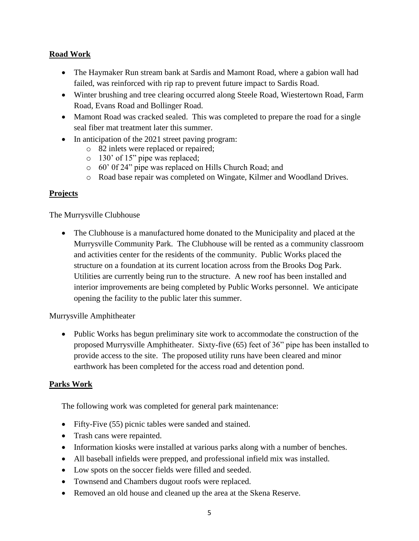#### **Road Work**

- The Haymaker Run stream bank at Sardis and Mamont Road, where a gabion wall had failed, was reinforced with rip rap to prevent future impact to Sardis Road.
- Winter brushing and tree clearing occurred along Steele Road, Wiestertown Road, Farm Road, Evans Road and Bollinger Road.
- Mamont Road was cracked sealed. This was completed to prepare the road for a single seal fiber mat treatment later this summer.
- In anticipation of the 2021 street paving program:
	- o 82 inlets were replaced or repaired;
	- o 130' of 15" pipe was replaced;
	- o 60' 0f 24" pipe was replaced on Hills Church Road; and
	- o Road base repair was completed on Wingate, Kilmer and Woodland Drives.

#### **Projects**

The Murrysville Clubhouse

• The Clubhouse is a manufactured home donated to the Municipality and placed at the Murrysville Community Park. The Clubhouse will be rented as a community classroom and activities center for the residents of the community. Public Works placed the structure on a foundation at its current location across from the Brooks Dog Park. Utilities are currently being run to the structure. A new roof has been installed and interior improvements are being completed by Public Works personnel. We anticipate opening the facility to the public later this summer.

Murrysville Amphitheater

• Public Works has begun preliminary site work to accommodate the construction of the proposed Murrysville Amphitheater. Sixty-five (65) feet of 36" pipe has been installed to provide access to the site. The proposed utility runs have been cleared and minor earthwork has been completed for the access road and detention pond.

#### **Parks Work**

The following work was completed for general park maintenance:

- Fifty-Five (55) picnic tables were sanded and stained.
- Trash cans were repainted.
- Information kiosks were installed at various parks along with a number of benches.
- All baseball infields were prepped, and professional infield mix was installed.
- Low spots on the soccer fields were filled and seeded.
- Townsend and Chambers dugout roofs were replaced.
- Removed an old house and cleaned up the area at the Skena Reserve.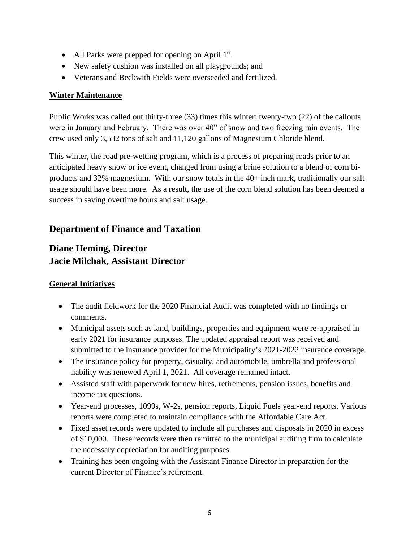- All Parks were prepped for opening on April  $1<sup>st</sup>$ .
- New safety cushion was installed on all playgrounds; and
- Veterans and Beckwith Fields were overseeded and fertilized.

#### **Winter Maintenance**

Public Works was called out thirty-three (33) times this winter; twenty-two (22) of the callouts were in January and February. There was over 40" of snow and two freezing rain events. The crew used only 3,532 tons of salt and 11,120 gallons of Magnesium Chloride blend.

This winter, the road pre-wetting program, which is a process of preparing roads prior to an anticipated heavy snow or ice event, changed from using a brine solution to a blend of corn biproducts and 32% magnesium. With our snow totals in the 40+ inch mark, traditionally our salt usage should have been more. As a result, the use of the corn blend solution has been deemed a success in saving overtime hours and salt usage.

## **Department of Finance and Taxation**

## **Diane Heming, Director Jacie Milchak, Assistant Director**

#### **General Initiatives**

- The audit fieldwork for the 2020 Financial Audit was completed with no findings or comments.
- Municipal assets such as land, buildings, properties and equipment were re-appraised in early 2021 for insurance purposes. The updated appraisal report was received and submitted to the insurance provider for the Municipality's 2021-2022 insurance coverage.
- The insurance policy for property, casualty, and automobile, umbrella and professional liability was renewed April 1, 2021. All coverage remained intact.
- Assisted staff with paperwork for new hires, retirements, pension issues, benefits and income tax questions.
- Year-end processes, 1099s, W-2s, pension reports, Liquid Fuels year-end reports. Various reports were completed to maintain compliance with the Affordable Care Act.
- Fixed asset records were updated to include all purchases and disposals in 2020 in excess of \$10,000. These records were then remitted to the municipal auditing firm to calculate the necessary depreciation for auditing purposes.
- Training has been ongoing with the Assistant Finance Director in preparation for the current Director of Finance's retirement.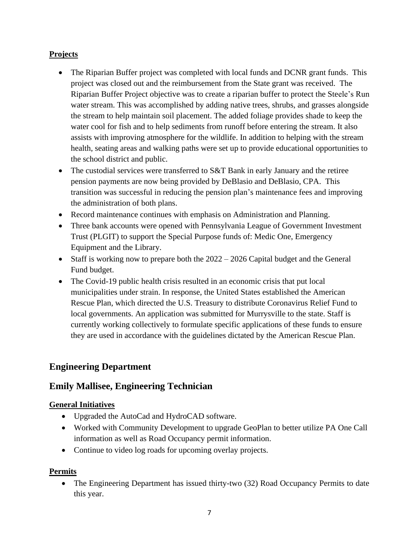#### **Projects**

- The Riparian Buffer project was completed with local funds and DCNR grant funds. This project was closed out and the reimbursement from the State grant was received. The Riparian Buffer Project objective was to create a riparian buffer to protect the Steele's Run water stream. This was accomplished by adding native trees, shrubs, and grasses alongside the stream to help maintain soil placement. The added foliage provides shade to keep the water cool for fish and to help sediments from runoff before entering the stream. It also assists with improving atmosphere for the wildlife. In addition to helping with the stream health, seating areas and walking paths were set up to provide educational opportunities to the school district and public.
- The custodial services were transferred to S&T Bank in early January and the retiree pension payments are now being provided by DeBlasio and DeBlasio, CPA. This transition was successful in reducing the pension plan's maintenance fees and improving the administration of both plans.
- Record maintenance continues with emphasis on Administration and Planning.
- Three bank accounts were opened with Pennsylvania League of Government Investment Trust (PLGIT) to support the Special Purpose funds of: Medic One, Emergency Equipment and the Library.
- Staff is working now to prepare both the  $2022 2026$  Capital budget and the General Fund budget.
- The Covid-19 public health crisis resulted in an economic crisis that put local municipalities under strain. In response, the United States established the American Rescue Plan, which directed the U.S. Treasury to distribute Coronavirus Relief Fund to local governments. An application was submitted for Murrysville to the state. Staff is currently working collectively to formulate specific applications of these funds to ensure they are used in accordance with the guidelines dictated by the American Rescue Plan.

## **Engineering Department**

## **Emily Mallisee, Engineering Technician**

#### **General Initiatives**

- Upgraded the AutoCad and HydroCAD software.
- Worked with Community Development to upgrade GeoPlan to better utilize PA One Call information as well as Road Occupancy permit information.
- Continue to video log roads for upcoming overlay projects.

#### **Permits**

• The Engineering Department has issued thirty-two (32) Road Occupancy Permits to date this year.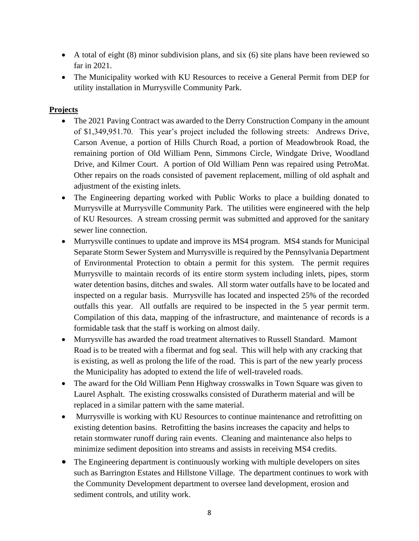- A total of eight (8) minor subdivision plans, and six (6) site plans have been reviewed so far in 2021.
- The Municipality worked with KU Resources to receive a General Permit from DEP for utility installation in Murrysville Community Park.

#### **Projects**

- The 2021 Paving Contract was awarded to the Derry Construction Company in the amount of \$1,349,951.70. This year's project included the following streets: Andrews Drive, Carson Avenue, a portion of Hills Church Road, a portion of Meadowbrook Road, the remaining portion of Old William Penn, Simmons Circle, Windgate Drive, Woodland Drive, and Kilmer Court. A portion of Old William Penn was repaired using PetroMat. Other repairs on the roads consisted of pavement replacement, milling of old asphalt and adjustment of the existing inlets.
- The Engineering departing worked with Public Works to place a building donated to Murrysville at Murrysville Community Park. The utilities were engineered with the help of KU Resources. A stream crossing permit was submitted and approved for the sanitary sewer line connection.
- Murrysville continues to update and improve its MS4 program. MS4 stands for Municipal Separate Storm Sewer System and Murrysville is required by the Pennsylvania Department of Environmental Protection to obtain a permit for this system. The permit requires Murrysville to maintain records of its entire storm system including inlets, pipes, storm water detention basins, ditches and swales. All storm water outfalls have to be located and inspected on a regular basis. Murrysville has located and inspected 25% of the recorded outfalls this year. All outfalls are required to be inspected in the 5 year permit term. Compilation of this data, mapping of the infrastructure, and maintenance of records is a formidable task that the staff is working on almost daily.
- Murrysville has awarded the road treatment alternatives to Russell Standard. Mamont Road is to be treated with a fibermat and fog seal. This will help with any cracking that is existing, as well as prolong the life of the road. This is part of the new yearly process the Municipality has adopted to extend the life of well-traveled roads.
- The award for the Old William Penn Highway crosswalks in Town Square was given to Laurel Asphalt. The existing crosswalks consisted of Duratherm material and will be replaced in a similar pattern with the same material.
- Murrysville is working with KU Resources to continue maintenance and retrofitting on existing detention basins. Retrofitting the basins increases the capacity and helps to retain stormwater runoff during rain events. Cleaning and maintenance also helps to minimize sediment deposition into streams and assists in receiving MS4 credits.
- The Engineering department is continuously working with multiple developers on sites such as Barrington Estates and Hillstone Village. The department continues to work with the Community Development department to oversee land development, erosion and sediment controls, and utility work.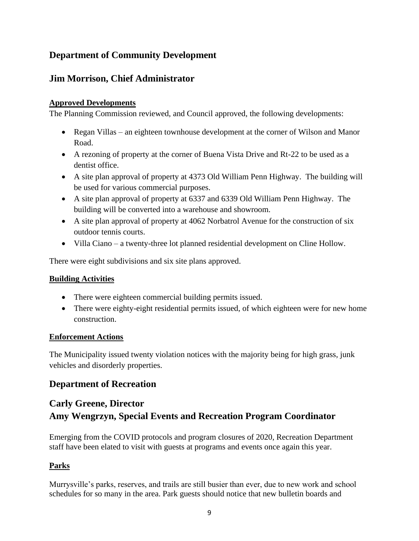## **Department of Community Development**

## **Jim Morrison, Chief Administrator**

#### **Approved Developments**

The Planning Commission reviewed, and Council approved, the following developments:

- Regan Villas an eighteen townhouse development at the corner of Wilson and Manor Road.
- A rezoning of property at the corner of Buena Vista Drive and Rt-22 to be used as a dentist office.
- A site plan approval of property at 4373 Old William Penn Highway. The building will be used for various commercial purposes.
- A site plan approval of property at 6337 and 6339 Old William Penn Highway. The building will be converted into a warehouse and showroom.
- A site plan approval of property at 4062 Norbatrol Avenue for the construction of six outdoor tennis courts.
- Villa Ciano a twenty-three lot planned residential development on Cline Hollow.

There were eight subdivisions and six site plans approved.

#### **Building Activities**

- There were eighteen commercial building permits issued.
- There were eighty-eight residential permits issued, of which eighteen were for new home construction.

#### **Enforcement Actions**

The Municipality issued twenty violation notices with the majority being for high grass, junk vehicles and disorderly properties.

### **Department of Recreation**

## **Carly Greene, Director Amy Wengrzyn, Special Events and Recreation Program Coordinator**

Emerging from the COVID protocols and program closures of 2020, Recreation Department staff have been elated to visit with guests at programs and events once again this year.

#### **Parks**

Murrysville's parks, reserves, and trails are still busier than ever, due to new work and school schedules for so many in the area. Park guests should notice that new bulletin boards and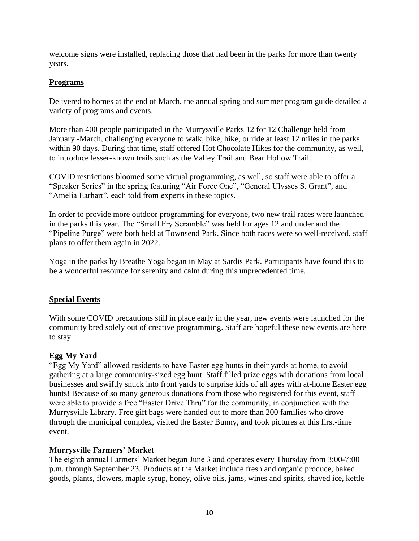welcome signs were installed, replacing those that had been in the parks for more than twenty years.

#### **Programs**

Delivered to homes at the end of March, the annual spring and summer program guide detailed a variety of programs and events.

More than 400 people participated in the Murrysville Parks 12 for 12 Challenge held from January -March, challenging everyone to walk, bike, hike, or ride at least 12 miles in the parks within 90 days. During that time, staff offered Hot Chocolate Hikes for the community, as well, to introduce lesser-known trails such as the Valley Trail and Bear Hollow Trail.

COVID restrictions bloomed some virtual programming, as well, so staff were able to offer a "Speaker Series" in the spring featuring "Air Force One", "General Ulysses S. Grant", and "Amelia Earhart", each told from experts in these topics.

In order to provide more outdoor programming for everyone, two new trail races were launched in the parks this year. The "Small Fry Scramble" was held for ages 12 and under and the "Pipeline Purge" were both held at Townsend Park. Since both races were so well-received, staff plans to offer them again in 2022.

Yoga in the parks by Breathe Yoga began in May at Sardis Park. Participants have found this to be a wonderful resource for serenity and calm during this unprecedented time.

#### **Special Events**

With some COVID precautions still in place early in the year, new events were launched for the community bred solely out of creative programming. Staff are hopeful these new events are here to stay.

#### **Egg My Yard**

"Egg My Yard" allowed residents to have Easter egg hunts in their yards at home, to avoid gathering at a large community-sized egg hunt. Staff filled prize eggs with donations from local businesses and swiftly snuck into front yards to surprise kids of all ages with at-home Easter egg hunts! Because of so many generous donations from those who registered for this event, staff were able to provide a free "Easter Drive Thru" for the community, in conjunction with the Murrysville Library. Free gift bags were handed out to more than 200 families who drove through the municipal complex, visited the Easter Bunny, and took pictures at this first-time event.

#### **Murrysville Farmers' Market**

The eighth annual Farmers' Market began June 3 and operates every Thursday from 3:00-7:00 p.m. through September 23. Products at the Market include fresh and organic produce, baked goods, plants, flowers, maple syrup, honey, olive oils, jams, wines and spirits, shaved ice, kettle